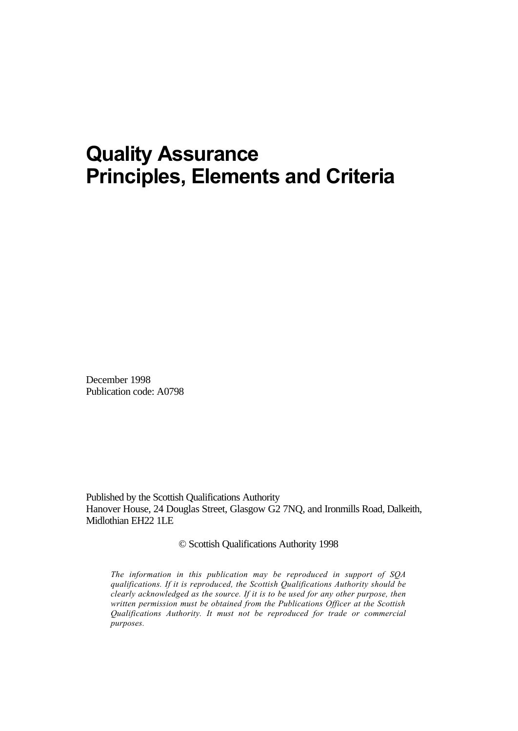# **Quality Assurance Principles, Elements and Criteria**

December 1998 Publication code: A0798

Published by the Scottish Qualifications Authority Hanover House, 24 Douglas Street, Glasgow G2 7NQ, and Ironmills Road, Dalkeith, Midlothian EH22 1LE

© Scottish Qualifications Authority 1998

*The information in this publication may be reproduced in support of SQA qualifications. If it is reproduced, the Scottish Qualifications Authority should be clearly acknowledged as the source. If it is to be used for any other purpose, then written permission must be obtained from the Publications Officer at the Scottish Qualifications Authority. It must not be reproduced for trade or commercial purposes.*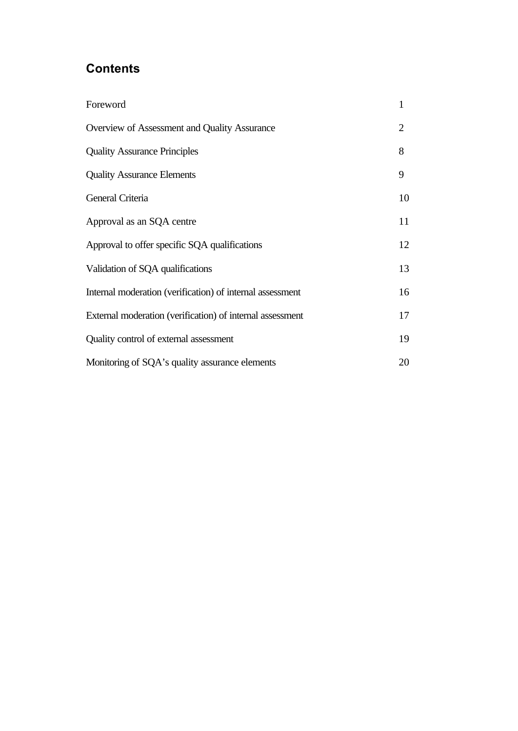## **Contents**

| Foreword                                                  | $\mathbf{1}$   |
|-----------------------------------------------------------|----------------|
| Overview of Assessment and Quality Assurance              | $\overline{2}$ |
| <b>Quality Assurance Principles</b>                       | 8              |
| <b>Quality Assurance Elements</b>                         | 9              |
| General Criteria                                          | 10             |
| Approval as an SQA centre                                 | 11             |
| Approval to offer specific SQA qualifications             | 12             |
| Validation of SQA qualifications                          | 13             |
| Internal moderation (verification) of internal assessment | 16             |
| External moderation (verification) of internal assessment | 17             |
| Quality control of external assessment                    | 19             |
| Monitoring of SQA's quality assurance elements            | 20             |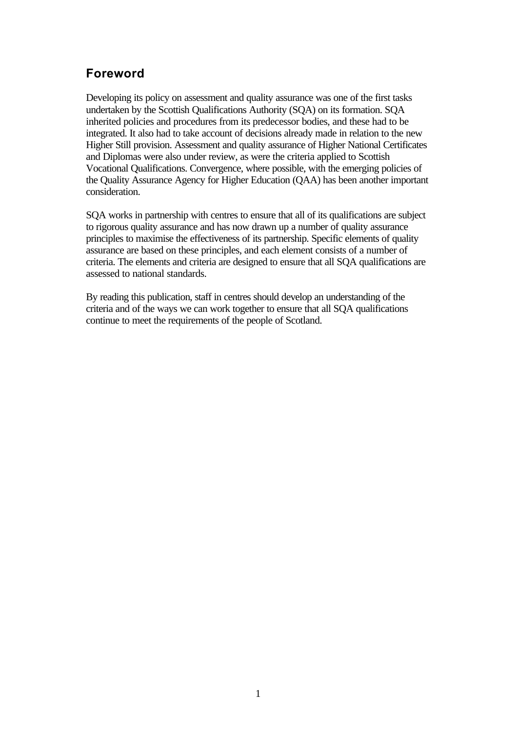## **Foreword**

Developing its policy on assessment and quality assurance was one of the first tasks undertaken by the Scottish Qualifications Authority (SQA) on its formation. SQA inherited policies and procedures from its predecessor bodies, and these had to be integrated. It also had to take account of decisions already made in relation to the new Higher Still provision. Assessment and quality assurance of Higher National Certificates and Diplomas were also under review, as were the criteria applied to Scottish Vocational Qualifications. Convergence, where possible, with the emerging policies of the Quality Assurance Agency for Higher Education (QAA) has been another important consideration.

SQA works in partnership with centres to ensure that all of its qualifications are subject to rigorous quality assurance and has now drawn up a number of quality assurance principles to maximise the effectiveness of its partnership. Specific elements of quality assurance are based on these principles, and each element consists of a number of criteria. The elements and criteria are designed to ensure that all SQA qualifications are assessed to national standards.

By reading this publication, staff in centres should develop an understanding of the criteria and of the ways we can work together to ensure that all SQA qualifications continue to meet the requirements of the people of Scotland.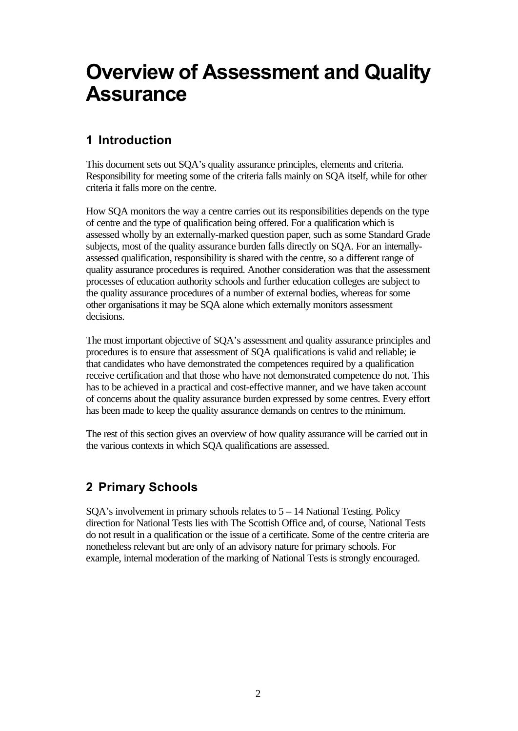# **Overview of Assessment and Quality Assurance**

# **1 Introduction**

This document sets out SQA's quality assurance principles, elements and criteria. Responsibility for meeting some of the criteria falls mainly on SQA itself, while for other criteria it falls more on the centre.

How SQA monitors the way a centre carries out its responsibilities depends on the type of centre and the type of qualification being offered. For a qualification which is assessed wholly by an externally-marked question paper, such as some Standard Grade subjects, most of the quality assurance burden falls directly on SQA. For an internallyassessed qualification, responsibility is shared with the centre, so a different range of quality assurance procedures is required. Another consideration was that the assessment processes of education authority schools and further education colleges are subject to the quality assurance procedures of a number of external bodies, whereas for some other organisations it may be SQA alone which externally monitors assessment decisions.

The most important objective of SQA's assessment and quality assurance principles and procedures is to ensure that assessment of SQA qualifications is valid and reliable; ie that candidates who have demonstrated the competences required by a qualification receive certification and that those who have not demonstrated competence do not. This has to be achieved in a practical and cost-effective manner, and we have taken account of concerns about the quality assurance burden expressed by some centres. Every effort has been made to keep the quality assurance demands on centres to the minimum.

The rest of this section gives an overview of how quality assurance will be carried out in the various contexts in which SQA qualifications are assessed.

## **2 Primary Schools**

 $SOA's$  involvement in primary schools relates to  $5 - 14$  National Testing. Policy direction for National Tests lies with The Scottish Office and, of course, National Tests do not result in a qualification or the issue of a certificate. Some of the centre criteria are nonetheless relevant but are only of an advisory nature for primary schools. For example, internal moderation of the marking of National Tests is strongly encouraged.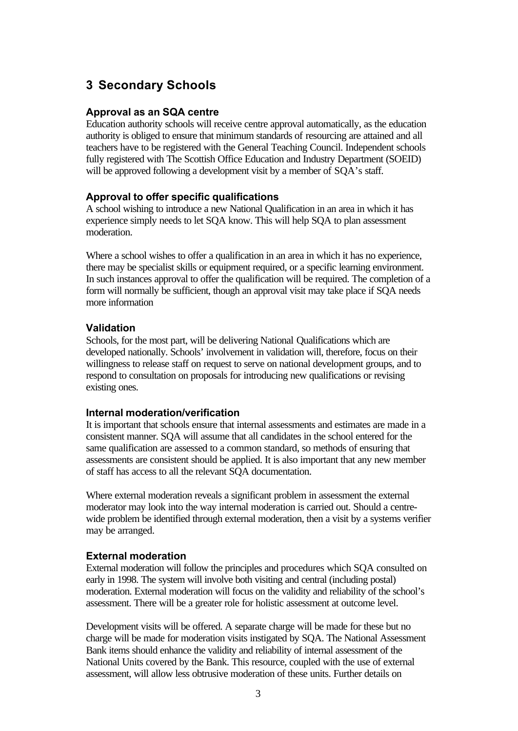## **3 Secondary Schools**

### **Approval as an SQA centre**

Education authority schools will receive centre approval automatically, as the education authority is obliged to ensure that minimum standards of resourcing are attained and all teachers have to be registered with the General Teaching Council. Independent schools fully registered with The Scottish Office Education and Industry Department (SOEID) will be approved following a development visit by a member of SQA's staff.

### **Approval to offer specific qualifications**

A school wishing to introduce a new National Qualification in an area in which it has experience simply needs to let SQA know. This will help SQA to plan assessment moderation.

Where a school wishes to offer a qualification in an area in which it has no experience, there may be specialist skills or equipment required, or a specific learning environment. In such instances approval to offer the qualification will be required. The completion of a form will normally be sufficient, though an approval visit may take place if SQA needs more information

### **Validation**

Schools, for the most part, will be delivering National Qualifications which are developed nationally. Schools' involvement in validation will, therefore, focus on their willingness to release staff on request to serve on national development groups, and to respond to consultation on proposals for introducing new qualifications or revising existing ones.

#### **Internal moderation/verification**

It is important that schools ensure that internal assessments and estimates are made in a consistent manner. SQA will assume that all candidates in the school entered for the same qualification are assessed to a common standard, so methods of ensuring that assessments are consistent should be applied. It is also important that any new member of staff has access to all the relevant SQA documentation.

Where external moderation reveals a significant problem in assessment the external moderator may look into the way internal moderation is carried out. Should a centrewide problem be identified through external moderation, then a visit by a systems verifier may be arranged.

## **External moderation**

External moderation will follow the principles and procedures which SQA consulted on early in 1998. The system will involve both visiting and central (including postal) moderation. External moderation will focus on the validity and reliability of the school's assessment. There will be a greater role for holistic assessment at outcome level.

Development visits will be offered. A separate charge will be made for these but no charge will be made for moderation visits instigated by SQA. The National Assessment Bank items should enhance the validity and reliability of internal assessment of the National Units covered by the Bank. This resource, coupled with the use of external assessment, will allow less obtrusive moderation of these units. Further details on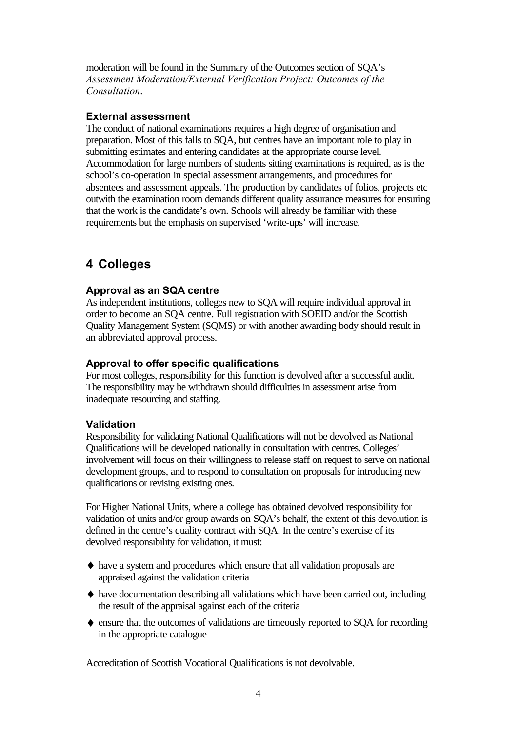moderation will be found in the Summary of the Outcomes section of SQA's *Assessment Moderation/External Verification Project: Outcomes of the Consultation*.

## **External assessment**

The conduct of national examinations requires a high degree of organisation and preparation. Most of this falls to SQA, but centres have an important role to play in submitting estimates and entering candidates at the appropriate course level. Accommodation for large numbers of students sitting examinations is required, as is the school's co-operation in special assessment arrangements, and procedures for absentees and assessment appeals. The production by candidates of folios, projects etc outwith the examination room demands different quality assurance measures for ensuring that the work is the candidate's own. Schools will already be familiar with these requirements but the emphasis on supervised 'write-ups' will increase.

## **4 Colleges**

## **Approval as an SQA centre**

As independent institutions, colleges new to SQA will require individual approval in order to become an SQA centre. Full registration with SOEID and/or the Scottish Quality Management System (SQMS) or with another awarding body should result in an abbreviated approval process.

## **Approval to offer specific qualifications**

For most colleges, responsibility for this function is devolved after a successful audit. The responsibility may be withdrawn should difficulties in assessment arise from inadequate resourcing and staffing.

## **Validation**

Responsibility for validating National Qualifications will not be devolved as National Qualifications will be developed nationally in consultation with centres. Colleges' involvement will focus on their willingness to release staff on request to serve on national development groups, and to respond to consultation on proposals for introducing new qualifications or revising existing ones.

For Higher National Units, where a college has obtained devolved responsibility for validation of units and/or group awards on SQA's behalf, the extent of this devolution is defined in the centre's quality contract with SQA. In the centre's exercise of its devolved responsibility for validation, it must:

- ♦ have a system and procedures which ensure that all validation proposals are appraised against the validation criteria
- $\leftrightarrow$  have documentation describing all validations which have been carried out, including the result of the appraisal against each of the criteria
- ♦ ensure that the outcomes of validations are timeously reported to SQA for recording in the appropriate catalogue

Accreditation of Scottish Vocational Qualifications is not devolvable.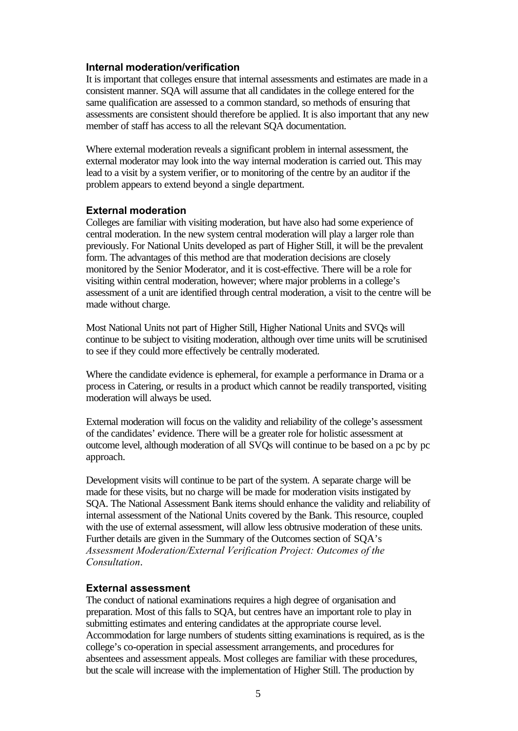#### **Internal moderation/verification**

It is important that colleges ensure that internal assessments and estimates are made in a consistent manner. SQA will assume that all candidates in the college entered for the same qualification are assessed to a common standard, so methods of ensuring that assessments are consistent should therefore be applied. It is also important that any new member of staff has access to all the relevant SQA documentation.

Where external moderation reveals a significant problem in internal assessment, the external moderator may look into the way internal moderation is carried out. This may lead to a visit by a system verifier, or to monitoring of the centre by an auditor if the problem appears to extend beyond a single department.

#### **External moderation**

Colleges are familiar with visiting moderation, but have also had some experience of central moderation. In the new system central moderation will play a larger role than previously. For National Units developed as part of Higher Still, it will be the prevalent form. The advantages of this method are that moderation decisions are closely monitored by the Senior Moderator, and it is cost-effective. There will be a role for visiting within central moderation, however; where major problems in a college's assessment of a unit are identified through central moderation, a visit to the centre will be made without charge.

Most National Units not part of Higher Still, Higher National Units and SVQs will continue to be subject to visiting moderation, although over time units will be scrutinised to see if they could more effectively be centrally moderated.

Where the candidate evidence is ephemeral, for example a performance in Drama or a process in Catering, or results in a product which cannot be readily transported, visiting moderation will always be used.

External moderation will focus on the validity and reliability of the college's assessment of the candidates' evidence. There will be a greater role for holistic assessment at outcome level, although moderation of all SVQs will continue to be based on a pc by pc approach.

Development visits will continue to be part of the system. A separate charge will be made for these visits, but no charge will be made for moderation visits instigated by SQA. The National Assessment Bank items should enhance the validity and reliability of internal assessment of the National Units covered by the Bank. This resource, coupled with the use of external assessment, will allow less obtrusive moderation of these units. Further details are given in the Summary of the Outcomes section of SQA's *Assessment Moderation/External Verification Project: Outcomes of the Consultation*.

#### **External assessment**

The conduct of national examinations requires a high degree of organisation and preparation. Most of this falls to SQA, but centres have an important role to play in submitting estimates and entering candidates at the appropriate course level. Accommodation for large numbers of students sitting examinations is required, as is the college's co-operation in special assessment arrangements, and procedures for absentees and assessment appeals. Most colleges are familiar with these procedures, but the scale will increase with the implementation of Higher Still. The production by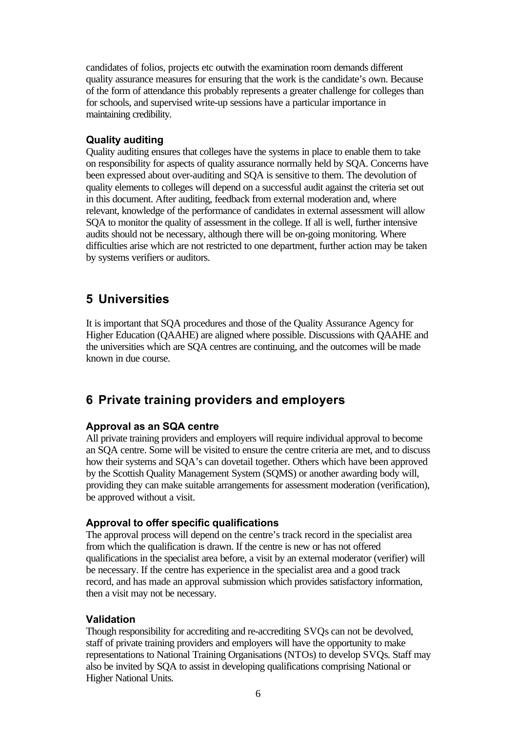candidates of folios, projects etc outwith the examination room demands different quality assurance measures for ensuring that the work is the candidate's own. Because of the form of attendance this probably represents a greater challenge for colleges than for schools, and supervised write-up sessions have a particular importance in maintaining credibility.

### **Quality auditing**

Quality auditing ensures that colleges have the systems in place to enable them to take on responsibility for aspects of quality assurance normally held by SQA. Concerns have been expressed about over-auditing and SQA is sensitive to them. The devolution of quality elements to colleges will depend on a successful audit against the criteria set out in this document. After auditing, feedback from external moderation and, where relevant, knowledge of the performance of candidates in external assessment will allow SQA to monitor the quality of assessment in the college. If all is well, further intensive audits should not be necessary, although there will be on-going monitoring. Where difficulties arise which are not restricted to one department, further action may be taken by systems verifiers or auditors.

## **5 Universities**

It is important that SQA procedures and those of the Quality Assurance Agency for Higher Education (QAAHE) are aligned where possible. Discussions with QAAHE and the universities which are SQA centres are continuing, and the outcomes will be made known in due course.

## **6 Private training providers and employers**

## **Approval as an SQA centre**

All private training providers and employers will require individual approval to become an SQA centre. Some will be visited to ensure the centre criteria are met, and to discuss how their systems and SQA's can dovetail together. Others which have been approved by the Scottish Quality Management System (SQMS) or another awarding body will, providing they can make suitable arrangements for assessment moderation (verification), be approved without a visit.

## **Approval to offer specific qualifications**

The approval process will depend on the centre's track record in the specialist area from which the qualification is drawn. If the centre is new or has not offered qualifications in the specialist area before, a visit by an external moderator (verifier) will be necessary. If the centre has experience in the specialist area and a good track record, and has made an approval submission which provides satisfactory information, then a visit may not be necessary.

## **Validation**

Though responsibility for accrediting and re-accrediting SVQs can not be devolved, staff of private training providers and employers will have the opportunity to make representations to National Training Organisations (NTOs) to develop SVQs. Staff may also be invited by SQA to assist in developing qualifications comprising National or Higher National Units.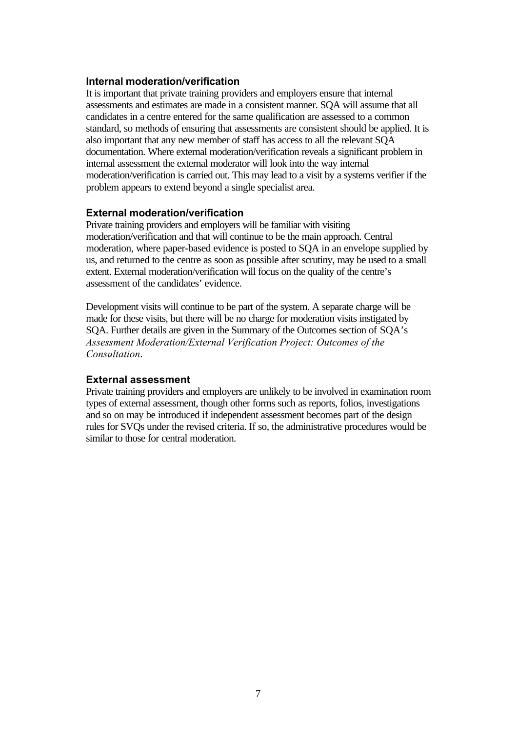### **Internal moderation/verification**

It is important that private training providers and employers ensure that internal assessments and estimates are made in a consistent manner. SQA will assume that all candidates in a centre entered for the same qualification are assessed to a common standard, so methods of ensuring that assessments are consistent should be applied. It is also important that any new member of staff has access to all the relevant SQA documentation. Where external moderation/verification reveals a significant problem in internal assessment the external moderator will look into the way internal moderation/verification is carried out. This may lead to a visit by a systems verifier if the problem appears to extend beyond a single specialist area.

### **External moderation/verification**

Private training providers and employers will be familiar with visiting moderation/verification and that will continue to be the main approach. Central moderation, where paper-based evidence is posted to SQA in an envelope supplied by us, and returned to the centre as soon as possible after scrutiny, may be used to a small extent. External moderation/verification will focus on the quality of the centre's assessment of the candidates' evidence.

Development visits will continue to be part of the system. A separate charge will be made for these visits, but there will be no charge for moderation visits instigated by SQA. Further details are given in the Summary of the Outcomes section of SQA's *Assessment Moderation/External Verification Project: Outcomes of the Consultation*.

#### **External assessment**

Private training providers and employers are unlikely to be involved in examination room types of external assessment, though other forms such as reports, folios, investigations and so on may be introduced if independent assessment becomes part of the design rules for SVQs under the revised criteria. If so, the administrative procedures would be similar to those for central moderation.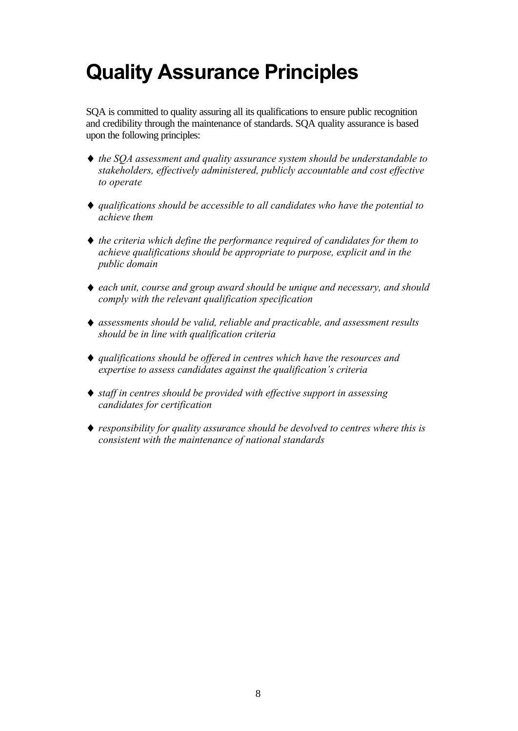# **Quality Assurance Principles**

SQA is committed to quality assuring all its qualifications to ensure public recognition and credibility through the maintenance of standards. SQA quality assurance is based upon the following principles:

- ♦ *the SQA assessment and quality assurance system should be understandable to stakeholders, effectively administered, publicly accountable and cost effective to operate*
- ♦ *qualifications should be accessible to all candidates who have the potential to achieve them*
- ♦ *the criteria which define the performance required of candidates for them to achieve qualifications should be appropriate to purpose, explicit and in the public domain*
- ♦ *each unit, course and group award should be unique and necessary, and should comply with the relevant qualification specification*
- ♦ *assessments should be valid, reliable and practicable, and assessment results should be in line with qualification criteria*
- ♦ *qualifications should be offered in centres which have the resources and expertise to assess candidates against the qualification's criteria*
- ♦ *staff in centres should be provided with effective support in assessing candidates for certification*
- ♦ *responsibility for quality assurance should be devolved to centres where this is consistent with the maintenance of national standards*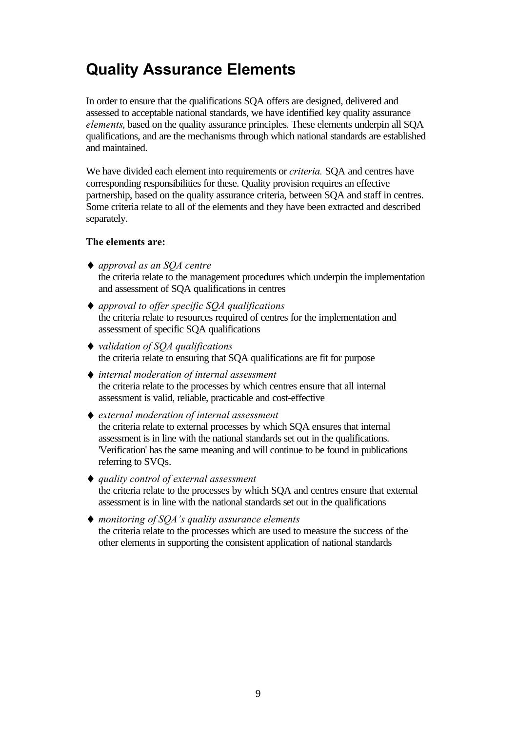# **Quality Assurance Elements**

In order to ensure that the qualifications SQA offers are designed, delivered and assessed to acceptable national standards, we have identified key quality assurance *elements*, based on the quality assurance principles. These elements underpin all SQA qualifications, and are the mechanisms through which national standards are established and maintained.

We have divided each element into requirements or *criteria.* SQA and centres have corresponding responsibilities for these. Quality provision requires an effective partnership, based on the quality assurance criteria, between SQA and staff in centres. Some criteria relate to all of the elements and they have been extracted and described separately.

#### **The elements are:**

- ♦ *approval as an SQA centre* the criteria relate to the management procedures which underpin the implementation and assessment of SQA qualifications in centres
- ♦ *approval to offer specific SQA qualifications* the criteria relate to resources required of centres for the implementation and assessment of specific SQA qualifications
- ♦ *validation of SQA qualifications* the criteria relate to ensuring that SQA qualifications are fit for purpose
- ♦ *internal moderation of internal assessment* the criteria relate to the processes by which centres ensure that all internal assessment is valid, reliable, practicable and cost-effective
- ♦ *external moderation of internal assessment* the criteria relate to external processes by which SQA ensures that internal assessment is in line with the national standards set out in the qualifications. 'Verification' has the same meaning and will continue to be found in publications referring to SVQs.
- ♦ *quality control of external assessment* the criteria relate to the processes by which SQA and centres ensure that external assessment is in line with the national standards set out in the qualifications
- ♦ *monitoring of SQA's quality assurance elements* the criteria relate to the processes which are used to measure the success of the other elements in supporting the consistent application of national standards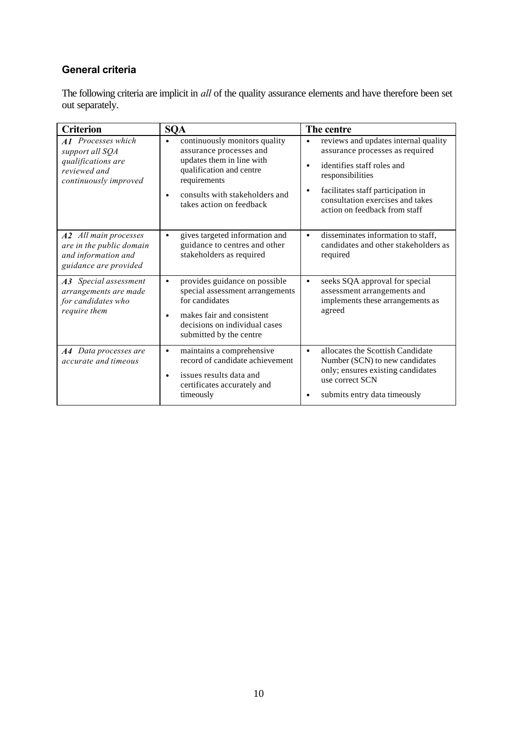## **General criteria**

The following criteria are implicit in *all* of the quality assurance elements and have therefore been set out separately.

| <b>Criterion</b>                                                                                            | <b>SQA</b>                                                                                                                                                                                                                | The centre                                                                                                                                                                                                                                             |
|-------------------------------------------------------------------------------------------------------------|---------------------------------------------------------------------------------------------------------------------------------------------------------------------------------------------------------------------------|--------------------------------------------------------------------------------------------------------------------------------------------------------------------------------------------------------------------------------------------------------|
| <b>A1</b> Processes which<br>support all SQA<br>qualifications are<br>reviewed and<br>continuously improved | continuously monitors quality<br>$\bullet$<br>assurance processes and<br>updates them in line with<br>qualification and centre<br>requirements<br>consults with stakeholders and<br>$\bullet$<br>takes action on feedback | reviews and updates internal quality<br>$\bullet$<br>assurance processes as required<br>identifies staff roles and<br>responsibilities<br>facilitates staff participation in<br>٠<br>consultation exercises and takes<br>action on feedback from staff |
| A2 All main processes<br>are in the public domain<br>and information and<br>guidance are provided           | gives targeted information and<br>$\bullet$<br>guidance to centres and other<br>stakeholders as required                                                                                                                  | disseminates information to staff,<br>$\bullet$<br>candidates and other stakeholders as<br>required                                                                                                                                                    |
| A3 Special assessment<br>arrangements are made<br>for candidates who<br>require them                        | provides guidance on possible<br>$\bullet$<br>special assessment arrangements<br>for candidates<br>makes fair and consistent<br>$\bullet$<br>decisions on individual cases<br>submitted by the centre                     | seeks SQA approval for special<br>$\bullet$<br>assessment arrangements and<br>implements these arrangements as<br>agreed                                                                                                                               |
| A4 Data processes are<br>accurate and timeous                                                               | maintains a comprehensive<br>$\bullet$<br>record of candidate achievement<br>issues results data and<br>$\bullet$<br>certificates accurately and<br>timeously                                                             | allocates the Scottish Candidate<br>$\bullet$<br>Number (SCN) to new candidates<br>only; ensures existing candidates<br>use correct SCN<br>submits entry data timeously                                                                                |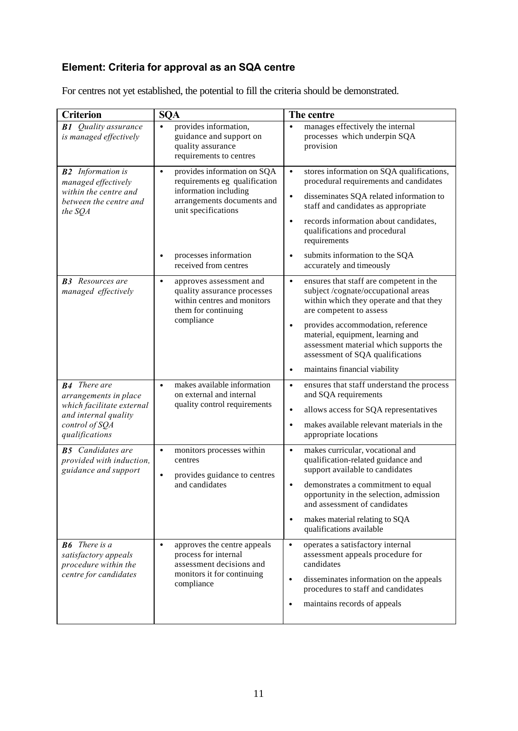# **Element: Criteria for approval as an SQA centre**

| For centres not yet established, the potential to fill the criteria should be demonstrated. |
|---------------------------------------------------------------------------------------------|
|---------------------------------------------------------------------------------------------|

| <b>Criterion</b>                                                                                                                      | <b>SQA</b>                                                                                                                                                                       | The centre                                                                                                                                                                                                                                                                                                                                            |
|---------------------------------------------------------------------------------------------------------------------------------------|----------------------------------------------------------------------------------------------------------------------------------------------------------------------------------|-------------------------------------------------------------------------------------------------------------------------------------------------------------------------------------------------------------------------------------------------------------------------------------------------------------------------------------------------------|
| <b>B1</b> Quality assurance<br>is managed effectively                                                                                 | provides information,<br>$\bullet$<br>guidance and support on<br>quality assurance<br>requirements to centres                                                                    | manages effectively the internal<br>$\bullet$<br>processes which underpin SQA<br>provision                                                                                                                                                                                                                                                            |
| <b>B2</b> Information is<br>managed effectively<br>within the centre and<br>between the centre and<br>the SQA                         | provides information on SQA<br>$\bullet$<br>requirements eg qualification<br>information including<br>arrangements documents and<br>unit specifications<br>processes information | stores information on SQA qualifications,<br>$\bullet$<br>procedural requirements and candidates<br>disseminates SQA related information to<br>$\bullet$<br>staff and candidates as appropriate<br>records information about candidates,<br>$\bullet$<br>qualifications and procedural<br>requirements<br>submits information to the SQA<br>$\bullet$ |
|                                                                                                                                       | $\bullet$<br>received from centres                                                                                                                                               | accurately and timeously                                                                                                                                                                                                                                                                                                                              |
| <b>B3</b> Resources are<br>managed effectively                                                                                        | approves assessment and<br>$\bullet$<br>quality assurance processes<br>within centres and monitors<br>them for continuing<br>compliance                                          | ensures that staff are competent in the<br>$\bullet$<br>subject/cognate/occupational areas<br>within which they operate and that they<br>are competent to assess<br>provides accommodation, reference<br>$\bullet$<br>material, equipment, learning and<br>assessment material which supports the<br>assessment of SQA qualifications                 |
|                                                                                                                                       |                                                                                                                                                                                  | maintains financial viability<br>$\bullet$                                                                                                                                                                                                                                                                                                            |
| <b>B4</b> There are<br>arrangements in place<br>which facilitate external<br>and internal quality<br>control of SQA<br>qualifications | makes available information<br>$\bullet$<br>on external and internal<br>quality control requirements                                                                             | ensures that staff understand the process<br>$\bullet$<br>and SQA requirements<br>allows access for SQA representatives<br>$\bullet$<br>makes available relevant materials in the<br>$\bullet$<br>appropriate locations                                                                                                                               |
| <b>B5</b> Candidates are<br>provided with induction,<br>guidance and support                                                          | monitors processes within<br>$\bullet$<br>centres<br>provides guidance to centres<br>$\bullet$<br>and candidates                                                                 | makes curricular, vocational and<br>$\bullet$<br>qualification-related guidance and<br>support available to candidates<br>demonstrates a commitment to equal<br>$\bullet$<br>opportunity in the selection, admission<br>and assessment of candidates<br>makes material relating to SQA<br>$\bullet$<br>qualifications available                       |
| <b>B6</b> There is a<br>satisfactory appeals<br>procedure within the<br>centre for candidates                                         | approves the centre appeals<br>$\bullet$<br>process for internal<br>assessment decisions and<br>monitors it for continuing<br>compliance                                         | operates a satisfactory internal<br>$\bullet$<br>assessment appeals procedure for<br>candidates<br>disseminates information on the appeals<br>$\bullet$<br>procedures to staff and candidates<br>maintains records of appeals<br>$\bullet$                                                                                                            |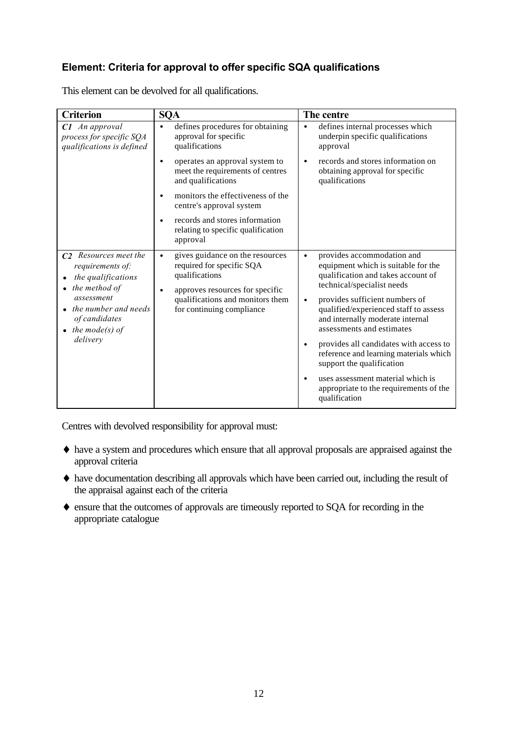## **Element: Criteria for approval to offer specific SQA qualifications**

| <b>Criterion</b>                                                                                                                                                                  | <b>SQA</b>                                                                                                                                                                                                   | The centre                                                                                                                                                                                                                                                                                                                                                                                                                                                                                                                                |
|-----------------------------------------------------------------------------------------------------------------------------------------------------------------------------------|--------------------------------------------------------------------------------------------------------------------------------------------------------------------------------------------------------------|-------------------------------------------------------------------------------------------------------------------------------------------------------------------------------------------------------------------------------------------------------------------------------------------------------------------------------------------------------------------------------------------------------------------------------------------------------------------------------------------------------------------------------------------|
| $C1$ An approval<br>process for specific SQA<br>qualifications is defined                                                                                                         | defines procedures for obtaining<br>$\bullet$<br>approval for specific<br>qualifications                                                                                                                     | defines internal processes which<br>$\bullet$<br>underpin specific qualifications<br>approval                                                                                                                                                                                                                                                                                                                                                                                                                                             |
|                                                                                                                                                                                   | operates an approval system to<br>$\bullet$<br>meet the requirements of centres<br>and qualifications                                                                                                        | records and stores information on<br>$\bullet$<br>obtaining approval for specific<br>qualifications                                                                                                                                                                                                                                                                                                                                                                                                                                       |
|                                                                                                                                                                                   | monitors the effectiveness of the<br>$\bullet$<br>centre's approval system                                                                                                                                   |                                                                                                                                                                                                                                                                                                                                                                                                                                                                                                                                           |
|                                                                                                                                                                                   | records and stores information<br>$\bullet$<br>relating to specific qualification<br>approval                                                                                                                |                                                                                                                                                                                                                                                                                                                                                                                                                                                                                                                                           |
| C <sub>2</sub> Resources meet the<br>requirements of:<br>the qualifications<br>the method of<br>assessment<br>the number and needs<br>of candidates<br>the mode(s) of<br>delivery | gives guidance on the resources<br>$\bullet$<br>required for specific SQA<br>qualifications<br>approves resources for specific<br>$\bullet$<br>qualifications and monitors them<br>for continuing compliance | provides accommodation and<br>$\bullet$<br>equipment which is suitable for the<br>qualification and takes account of<br>technical/specialist needs<br>provides sufficient numbers of<br>$\bullet$<br>qualified/experienced staff to assess<br>and internally moderate internal<br>assessments and estimates<br>provides all candidates with access to<br>$\bullet$<br>reference and learning materials which<br>support the qualification<br>uses assessment material which is<br>appropriate to the requirements of the<br>qualification |

This element can be devolved for all qualifications.

Centres with devolved responsibility for approval must:

- ♦ have a system and procedures which ensure that all approval proposals are appraised against the approval criteria
- ♦ have documentation describing all approvals which have been carried out, including the result of the appraisal against each of the criteria
- ♦ ensure that the outcomes of approvals are timeously reported to SQA for recording in the appropriate catalogue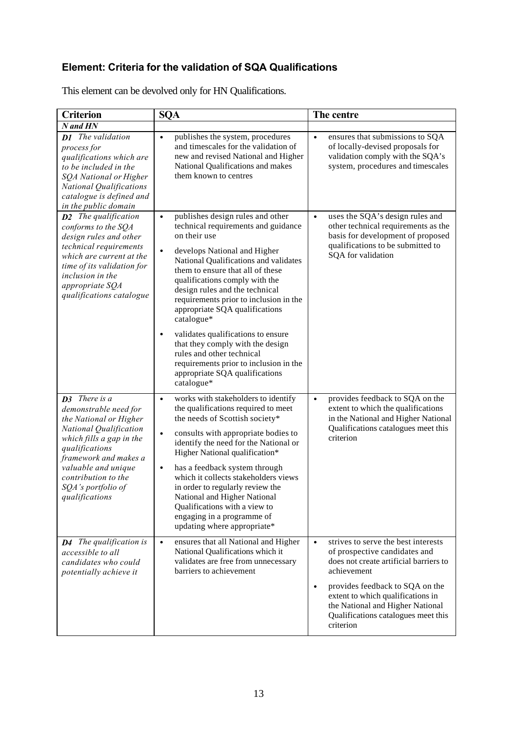## **Element: Criteria for the validation of SQA Qualifications**

This element can be devolved only for HN Qualifications.

| <b>Criterion</b>                                                                                                                                                                                                                                               | <b>SQA</b>                                                                                                                                                                                                                                                                                                                                                                                                                                                                                                                                                                                         | The centre                                                                                                                                                                                                                                                                                                              |
|----------------------------------------------------------------------------------------------------------------------------------------------------------------------------------------------------------------------------------------------------------------|----------------------------------------------------------------------------------------------------------------------------------------------------------------------------------------------------------------------------------------------------------------------------------------------------------------------------------------------------------------------------------------------------------------------------------------------------------------------------------------------------------------------------------------------------------------------------------------------------|-------------------------------------------------------------------------------------------------------------------------------------------------------------------------------------------------------------------------------------------------------------------------------------------------------------------------|
| $N$ and $HN$                                                                                                                                                                                                                                                   |                                                                                                                                                                                                                                                                                                                                                                                                                                                                                                                                                                                                    |                                                                                                                                                                                                                                                                                                                         |
| <b>D1</b> The validation<br>process for<br>qualifications which are<br>to be included in the<br>SQA National or Higher<br><b>National Qualifications</b><br>catalogue is defined and<br>in the public domain                                                   | publishes the system, procedures<br>$\bullet$<br>and timescales for the validation of<br>new and revised National and Higher<br>National Qualifications and makes<br>them known to centres                                                                                                                                                                                                                                                                                                                                                                                                         | ensures that submissions to SQA<br>$\bullet$<br>of locally-devised proposals for<br>validation comply with the SQA's<br>system, procedures and timescales                                                                                                                                                               |
| <b>D2</b> The qualification<br>conforms to the SQA<br>design rules and other<br>technical requirements<br>which are current at the<br>time of its validation for<br>inclusion in the<br>appropriate SQA<br>qualifications catalogue                            | publishes design rules and other<br>$\bullet$<br>technical requirements and guidance<br>on their use<br>develops National and Higher<br>$\bullet$<br>National Qualifications and validates<br>them to ensure that all of these<br>qualifications comply with the<br>design rules and the technical<br>requirements prior to inclusion in the<br>appropriate SQA qualifications<br>catalogue*<br>validates qualifications to ensure<br>٠<br>that they comply with the design<br>rules and other technical<br>requirements prior to inclusion in the<br>appropriate SQA qualifications<br>catalogue* | uses the SQA's design rules and<br>$\bullet$<br>other technical requirements as the<br>basis for development of proposed<br>qualifications to be submitted to<br>SQA for validation                                                                                                                                     |
| <b>D3</b> There is a<br>demonstrable need for<br>the National or Higher<br>National Qualification<br>which fills a gap in the<br>qualifications<br>framework and makes a<br>valuable and unique<br>contribution to the<br>SQA's portfolio of<br>qualifications | works with stakeholders to identify<br>$\bullet$<br>the qualifications required to meet<br>the needs of Scottish society*<br>consults with appropriate bodies to<br>$\bullet$<br>identify the need for the National or<br>Higher National qualification*<br>has a feedback system through<br>$\bullet$<br>which it collects stakeholders views<br>in order to regularly review the<br>National and Higher National<br>Qualifications with a view to<br>engaging in a programme of<br>updating where appropriate*                                                                                   | provides feedback to SQA on the<br>$\bullet$<br>extent to which the qualifications<br>in the National and Higher National<br>Qualifications catalogues meet this<br>criterion                                                                                                                                           |
| <b>D4</b> The qualification is<br>accessible to all<br>candidates who could<br>potentially achieve it                                                                                                                                                          | ensures that all National and Higher<br>$\bullet$<br>National Qualifications which it<br>validates are free from unnecessary<br>barriers to achievement                                                                                                                                                                                                                                                                                                                                                                                                                                            | strives to serve the best interests<br>$\bullet$<br>of prospective candidates and<br>does not create artificial barriers to<br>achievement<br>provides feedback to SQA on the<br>$\bullet$<br>extent to which qualifications in<br>the National and Higher National<br>Qualifications catalogues meet this<br>criterion |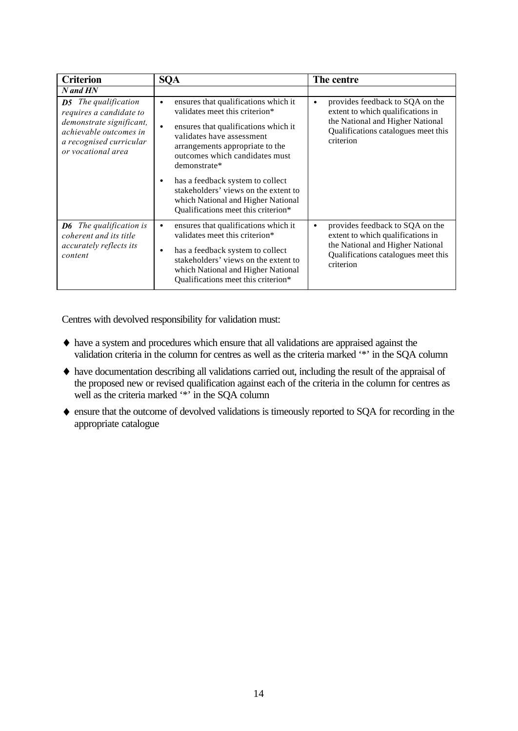| <b>Criterion</b>                                                                                                                                              | <b>SQA</b>                                                                                                                                                                                                                                                                                                                                                                                                                       | The centre                                                                                                                                                                |
|---------------------------------------------------------------------------------------------------------------------------------------------------------------|----------------------------------------------------------------------------------------------------------------------------------------------------------------------------------------------------------------------------------------------------------------------------------------------------------------------------------------------------------------------------------------------------------------------------------|---------------------------------------------------------------------------------------------------------------------------------------------------------------------------|
| N and HN                                                                                                                                                      |                                                                                                                                                                                                                                                                                                                                                                                                                                  |                                                                                                                                                                           |
| <b>D5</b> The qualification<br>requires a candidate to<br>demonstrate significant,<br>achievable outcomes in<br>a recognised curricular<br>or vocational area | ensures that qualifications which it<br>$\bullet$<br>validates meet this criterion*<br>ensures that qualifications which it<br>$\bullet$<br>validates have assessment<br>arrangements appropriate to the<br>outcomes which candidates must<br>demonstrate*<br>has a feedback system to collect<br>$\bullet$<br>stakeholders' views on the extent to<br>which National and Higher National<br>Qualifications meet this criterion* | provides feedback to SQA on the<br>$\bullet$<br>extent to which qualifications in<br>the National and Higher National<br>Qualifications catalogues meet this<br>criterion |
| The qualification is<br>D6<br>coherent and its title<br><i>accurately reflects its</i><br>content                                                             | ensures that qualifications which it<br>$\bullet$<br>validates meet this criterion*<br>has a feedback system to collect<br>$\bullet$<br>stakeholders' views on the extent to<br>which National and Higher National<br>Qualifications meet this criterion*                                                                                                                                                                        | provides feedback to SQA on the<br>$\bullet$<br>extent to which qualifications in<br>the National and Higher National<br>Qualifications catalogues meet this<br>criterion |

Centres with devolved responsibility for validation must:

- ♦ have a system and procedures which ensure that all validations are appraised against the validation criteria in the column for centres as well as the criteria marked '\*' in the SQA column
- ♦ have documentation describing all validations carried out, including the result of the appraisal of the proposed new or revised qualification against each of the criteria in the column for centres as well as the criteria marked '\*' in the SQA column
- ♦ ensure that the outcome of devolved validations is timeously reported to SQA for recording in the appropriate catalogue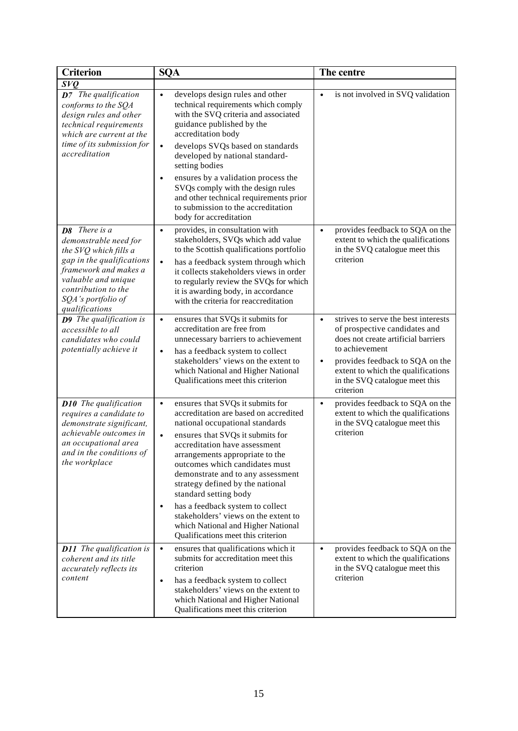| <b>Criterion</b>                                                                                                                                                                                                   | <b>SQA</b>                                                                                                                                                                                                                                                                                                                                                                                                                                                                                                                                              | The centre                                                                                                                                                                                                                                                         |
|--------------------------------------------------------------------------------------------------------------------------------------------------------------------------------------------------------------------|---------------------------------------------------------------------------------------------------------------------------------------------------------------------------------------------------------------------------------------------------------------------------------------------------------------------------------------------------------------------------------------------------------------------------------------------------------------------------------------------------------------------------------------------------------|--------------------------------------------------------------------------------------------------------------------------------------------------------------------------------------------------------------------------------------------------------------------|
| S <sub>VQ</sub>                                                                                                                                                                                                    |                                                                                                                                                                                                                                                                                                                                                                                                                                                                                                                                                         |                                                                                                                                                                                                                                                                    |
| <b>D7</b> The qualification<br>conforms to the SQA<br>design rules and other<br>technical requirements<br>which are current at the                                                                                 | develops design rules and other<br>$\bullet$<br>technical requirements which comply<br>with the SVQ criteria and associated<br>guidance published by the<br>accreditation body                                                                                                                                                                                                                                                                                                                                                                          | is not involved in SVQ validation<br>$\bullet$                                                                                                                                                                                                                     |
| time of its submission for<br>accreditation                                                                                                                                                                        | develops SVQs based on standards<br>$\bullet$<br>developed by national standard-<br>setting bodies                                                                                                                                                                                                                                                                                                                                                                                                                                                      |                                                                                                                                                                                                                                                                    |
|                                                                                                                                                                                                                    | ensures by a validation process the<br>$\bullet$<br>SVQs comply with the design rules<br>and other technical requirements prior<br>to submission to the accreditation<br>body for accreditation                                                                                                                                                                                                                                                                                                                                                         |                                                                                                                                                                                                                                                                    |
| <b>D8</b> There is a<br>demonstrable need for<br>the SVQ which fills a<br>gap in the qualifications<br>framework and makes a<br>valuable and unique<br>contribution to the<br>SQA's portfolio of<br>qualifications | provides, in consultation with<br>$\bullet$<br>stakeholders, SVQs which add value<br>to the Scottish qualifications portfolio<br>has a feedback system through which<br>$\bullet$<br>it collects stakeholders views in order<br>to regularly review the SVQs for which<br>it is awarding body, in accordance<br>with the criteria for reaccreditation                                                                                                                                                                                                   | provides feedback to SQA on the<br>$\bullet$<br>extent to which the qualifications<br>in the SVQ catalogue meet this<br>criterion                                                                                                                                  |
| <b>D9</b> The qualification is<br>accessible to all<br>candidates who could<br>potentially achieve it                                                                                                              | ensures that SVQs it submits for<br>$\bullet$<br>accreditation are free from<br>unnecessary barriers to achievement<br>has a feedback system to collect<br>$\bullet$<br>stakeholders' views on the extent to<br>which National and Higher National<br>Qualifications meet this criterion                                                                                                                                                                                                                                                                | strives to serve the best interests<br>$\bullet$<br>of prospective candidates and<br>does not create artificial barriers<br>to achievement<br>provides feedback to SQA on the<br>$\bullet$<br>extent to which the qualifications<br>in the SVQ catalogue meet this |
| <b>D10</b> The qualification<br>requires a candidate to<br>demonstrate significant,<br>achievable outcomes in<br>an occupational area<br>and in the conditions of<br>the workplace                                 | ensures that SVQs it submits for<br>$\bullet$<br>accreditation are based on accredited<br>national occupational standards<br>ensures that SVQs it submits for<br>$\bullet$<br>accreditation have assessment<br>arrangements appropriate to the<br>outcomes which candidates must<br>demonstrate and to any assessment<br>strategy defined by the national<br>standard setting body<br>has a feedback system to collect<br>$\bullet$<br>stakeholders' views on the extent to<br>which National and Higher National<br>Qualifications meet this criterion | criterion<br>provides feedback to SQA on the<br>$\bullet$<br>extent to which the qualifications<br>in the SVQ catalogue meet this<br>criterion                                                                                                                     |
| <b>D11</b> The qualification is<br>coherent and its title<br>accurately reflects its<br>content                                                                                                                    | ensures that qualifications which it<br>$\bullet$<br>submits for accreditation meet this<br>criterion<br>has a feedback system to collect<br>$\bullet$<br>stakeholders' views on the extent to<br>which National and Higher National<br>Qualifications meet this criterion                                                                                                                                                                                                                                                                              | provides feedback to SQA on the<br>$\bullet$<br>extent to which the qualifications<br>in the SVQ catalogue meet this<br>criterion                                                                                                                                  |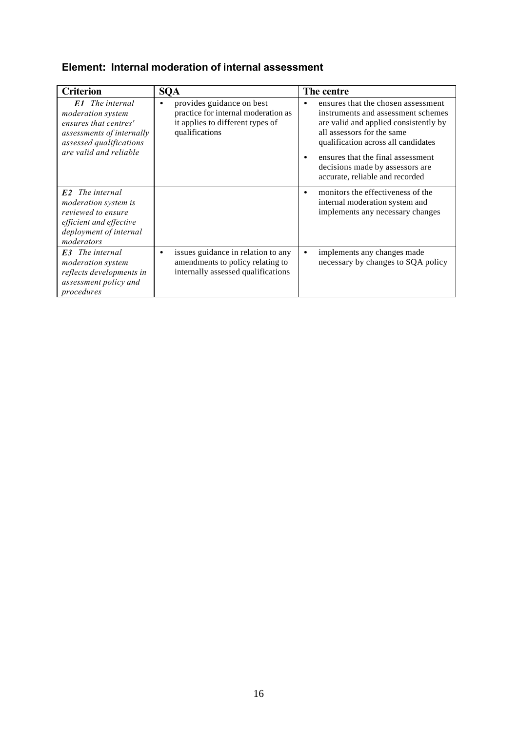## **Element: Internal moderation of internal assessment**

| <b>Criterion</b>                                                                                                                                       | <b>SQA</b>                                                                                                                          | The centre                                                                                                                                                                                                                                                                                                                  |
|--------------------------------------------------------------------------------------------------------------------------------------------------------|-------------------------------------------------------------------------------------------------------------------------------------|-----------------------------------------------------------------------------------------------------------------------------------------------------------------------------------------------------------------------------------------------------------------------------------------------------------------------------|
| <b>E1</b> The internal<br>moderation system<br>ensures that centres'<br>assessments of internally<br>assessed qualifications<br>are valid and reliable | provides guidance on best<br>$\bullet$<br>practice for internal moderation as<br>it applies to different types of<br>qualifications | ensures that the chosen assessment<br>$\bullet$<br>instruments and assessment schemes<br>are valid and applied consistently by<br>all assessors for the same<br>qualification across all candidates<br>ensures that the final assessment<br>$\bullet$<br>decisions made by assessors are<br>accurate, reliable and recorded |
| <b>E2</b> The internal<br><i>moderation system is</i><br>reviewed to ensure<br>efficient and effective<br>deployment of internal<br>moderators         |                                                                                                                                     | monitors the effectiveness of the<br>$\bullet$<br>internal moderation system and<br>implements any necessary changes                                                                                                                                                                                                        |
| <b>E3</b> The internal<br><i>moderation system</i><br>reflects developments in<br>assessment policy and<br>procedures                                  | issues guidance in relation to any<br>$\bullet$<br>amendments to policy relating to<br>internally assessed qualifications           | implements any changes made<br>$\bullet$<br>necessary by changes to SQA policy                                                                                                                                                                                                                                              |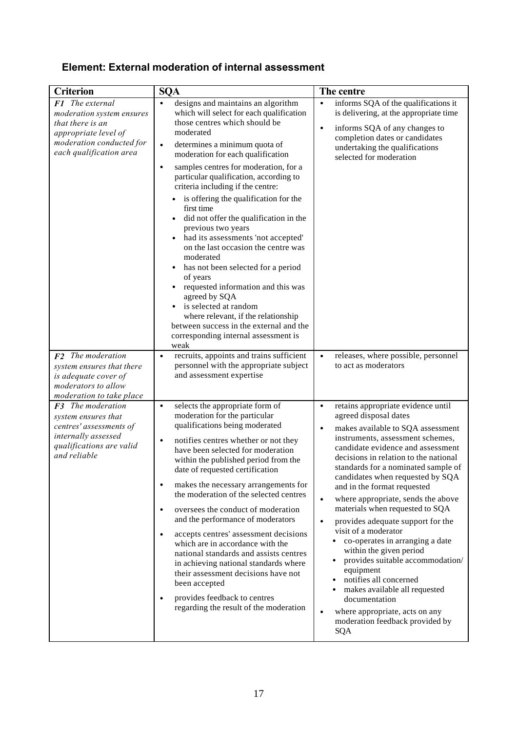## **Element: External moderation of internal assessment**

| <b>Criterion</b>                                                                                                                                       | <b>SQA</b>                                                                                                                                                                                                                                                                                                                                                                                                                                                                                                                                                                                                                                                                                                                                                                                                                                                          | The centre                                                                                                                                                                                                                                                                                                                                                                                                                                                                                                                                                                                                                                                                                                                                                                                                 |
|--------------------------------------------------------------------------------------------------------------------------------------------------------|---------------------------------------------------------------------------------------------------------------------------------------------------------------------------------------------------------------------------------------------------------------------------------------------------------------------------------------------------------------------------------------------------------------------------------------------------------------------------------------------------------------------------------------------------------------------------------------------------------------------------------------------------------------------------------------------------------------------------------------------------------------------------------------------------------------------------------------------------------------------|------------------------------------------------------------------------------------------------------------------------------------------------------------------------------------------------------------------------------------------------------------------------------------------------------------------------------------------------------------------------------------------------------------------------------------------------------------------------------------------------------------------------------------------------------------------------------------------------------------------------------------------------------------------------------------------------------------------------------------------------------------------------------------------------------------|
| <b>F1</b> The external<br>moderation system ensures<br>that there is an<br>appropriate level of<br>moderation conducted for<br>each qualification area | designs and maintains an algorithm<br>$\bullet$<br>which will select for each qualification<br>those centres which should be<br>moderated<br>determines a minimum quota of<br>$\bullet$<br>moderation for each qualification<br>samples centres for moderation, for a<br>$\bullet$<br>particular qualification, according to<br>criteria including if the centre:<br>is offering the qualification for the<br>first time<br>did not offer the qualification in the<br>previous two years<br>had its assessments 'not accepted'<br>$\bullet$<br>on the last occasion the centre was<br>moderated<br>has not been selected for a period<br>of years<br>requested information and this was<br>agreed by SQA<br>is selected at random<br>where relevant, if the relationship<br>between success in the external and the<br>corresponding internal assessment is<br>weak | informs SQA of the qualifications it<br>$\bullet$<br>is delivering, at the appropriate time<br>informs SQA of any changes to<br>$\bullet$<br>completion dates or candidates<br>undertaking the qualifications<br>selected for moderation                                                                                                                                                                                                                                                                                                                                                                                                                                                                                                                                                                   |
| $F2$ The moderation<br>system ensures that there<br>is adequate cover of<br>moderators to allow<br>moderation to take place                            | recruits, appoints and trains sufficient<br>$\bullet$<br>personnel with the appropriate subject<br>and assessment expertise                                                                                                                                                                                                                                                                                                                                                                                                                                                                                                                                                                                                                                                                                                                                         | releases, where possible, personnel<br>$\bullet$<br>to act as moderators                                                                                                                                                                                                                                                                                                                                                                                                                                                                                                                                                                                                                                                                                                                                   |
| $F3$ The moderation<br>system ensures that<br>centres' assessments of<br>internally assessed<br>qualifications are valid<br>and reliable               | selects the appropriate form of<br>$\bullet$<br>moderation for the particular<br>qualifications being moderated<br>notifies centres whether or not they<br>$\bullet$<br>have been selected for moderation<br>within the published period from the<br>date of requested certification<br>makes the necessary arrangements for<br>$\bullet$<br>the moderation of the selected centres<br>oversees the conduct of moderation<br>$\bullet$<br>and the performance of moderators<br>accepts centres' assessment decisions<br>$\bullet$<br>which are in accordance with the<br>national standards and assists centres<br>in achieving national standards where<br>their assessment decisions have not<br>been accepted<br>provides feedback to centres<br>$\bullet$<br>regarding the result of the moderation                                                             | retains appropriate evidence until<br>$\bullet$<br>agreed disposal dates<br>makes available to SQA assessment<br>$\bullet$<br>instruments, assessment schemes,<br>candidate evidence and assessment<br>decisions in relation to the national<br>standards for a nominated sample of<br>candidates when requested by SQA<br>and in the format requested<br>where appropriate, sends the above<br>$\bullet$<br>materials when requested to SQA<br>provides adequate support for the<br>$\bullet$<br>visit of a moderator<br>co-operates in arranging a date<br>within the given period<br>provides suitable accommodation/<br>equipment<br>notifies all concerned<br>makes available all requested<br>documentation<br>where appropriate, acts on any<br>$\bullet$<br>moderation feedback provided by<br>SQA |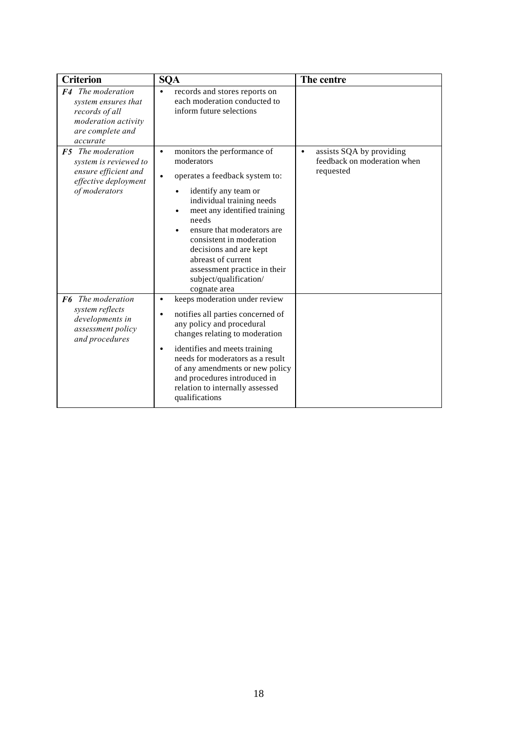| <b>Criterion</b>                                                                                                         | <b>SQA</b>                                                                                                                                                                                                                                                                                                                                                                                           | The centre                                                                        |
|--------------------------------------------------------------------------------------------------------------------------|------------------------------------------------------------------------------------------------------------------------------------------------------------------------------------------------------------------------------------------------------------------------------------------------------------------------------------------------------------------------------------------------------|-----------------------------------------------------------------------------------|
| <b>F4</b> The moderation<br>system ensures that<br>records of all<br>moderation activity<br>are complete and<br>accurate | records and stores reports on<br>$\bullet$<br>each moderation conducted to<br>inform future selections                                                                                                                                                                                                                                                                                               |                                                                                   |
| $F5$ The moderation<br>system is reviewed to<br>ensure efficient and<br>effective deployment<br>of moderators            | monitors the performance of<br>$\bullet$<br>moderators<br>operates a feedback system to:<br>$\bullet$<br>identify any team or<br>individual training needs<br>meet any identified training<br>needs<br>ensure that moderators are<br>$\bullet$<br>consistent in moderation<br>decisions and are kept<br>abreast of current<br>assessment practice in their<br>subject/qualification/<br>cognate area | assists SQA by providing<br>$\bullet$<br>feedback on moderation when<br>requested |
| F6 The moderation<br>system reflects<br>developments in<br>assessment policy<br>and procedures                           | keeps moderation under review<br>$\bullet$<br>notifies all parties concerned of<br>$\bullet$<br>any policy and procedural<br>changes relating to moderation<br>identifies and meets training<br>$\bullet$<br>needs for moderators as a result<br>of any amendments or new policy<br>and procedures introduced in<br>relation to internally assessed<br>qualifications                                |                                                                                   |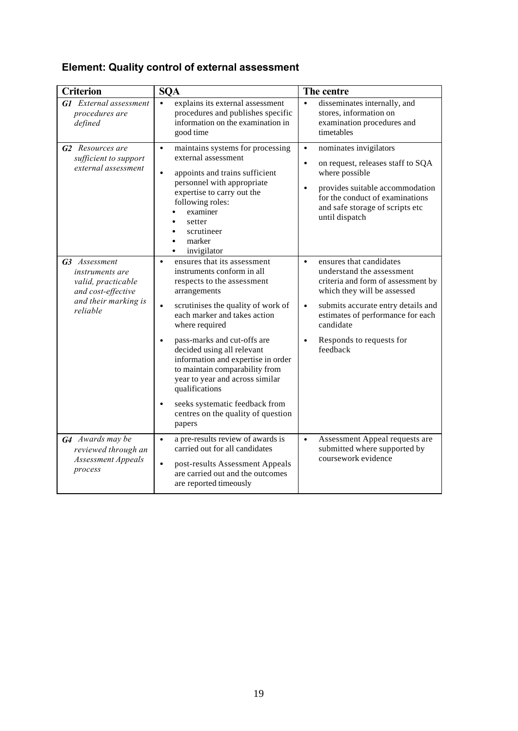# **Element: Quality control of external assessment**

| <b>Criterion</b>                                                                                                        | <b>SQA</b>                                                                                                                                                                                                                                                                                                                                                                                                                                                                                                         | The centre                                                                                                                                                                                                                                                                                       |
|-------------------------------------------------------------------------------------------------------------------------|--------------------------------------------------------------------------------------------------------------------------------------------------------------------------------------------------------------------------------------------------------------------------------------------------------------------------------------------------------------------------------------------------------------------------------------------------------------------------------------------------------------------|--------------------------------------------------------------------------------------------------------------------------------------------------------------------------------------------------------------------------------------------------------------------------------------------------|
| <b>G1</b> External assessment<br>procedures are<br>defined                                                              | explains its external assessment<br>$\bullet$<br>procedures and publishes specific<br>information on the examination in<br>good time                                                                                                                                                                                                                                                                                                                                                                               | disseminates internally, and<br>$\bullet$<br>stores, information on<br>examination procedures and<br>timetables                                                                                                                                                                                  |
| <b>G2</b> Resources are<br>sufficient to support<br>external assessment                                                 | maintains systems for processing<br>$\bullet$<br>external assessment<br>appoints and trains sufficient<br>$\bullet$<br>personnel with appropriate<br>expertise to carry out the<br>following roles:<br>examiner<br>setter<br>scrutineer<br>marker<br>invigilator                                                                                                                                                                                                                                                   | nominates invigilators<br>$\bullet$<br>on request, releases staff to SQA<br>$\bullet$<br>where possible<br>provides suitable accommodation<br>$\bullet$<br>for the conduct of examinations<br>and safe storage of scripts etc<br>until dispatch                                                  |
| G3 Assessment<br><i>instruments are</i><br>valid, practicable<br>and cost-effective<br>and their marking is<br>reliable | ensures that its assessment<br>$\bullet$<br>instruments conform in all<br>respects to the assessment<br>arrangements<br>scrutinises the quality of work of<br>$\bullet$<br>each marker and takes action<br>where required<br>pass-marks and cut-offs are<br>decided using all relevant<br>information and expertise in order<br>to maintain comparability from<br>year to year and across similar<br>qualifications<br>seeks systematic feedback from<br>$\bullet$<br>centres on the quality of question<br>papers | ensures that candidates<br>$\bullet$<br>understand the assessment<br>criteria and form of assessment by<br>which they will be assessed<br>submits accurate entry details and<br>$\bullet$<br>estimates of performance for each<br>candidate<br>Responds to requests for<br>$\bullet$<br>feedback |
| G4 Awards may be<br>reviewed through an<br><b>Assessment Appeals</b><br>process                                         | a pre-results review of awards is<br>$\bullet$<br>carried out for all candidates<br>post-results Assessment Appeals<br>$\bullet$<br>are carried out and the outcomes<br>are reported timeously                                                                                                                                                                                                                                                                                                                     | Assessment Appeal requests are<br>$\bullet$<br>submitted where supported by<br>coursework evidence                                                                                                                                                                                               |